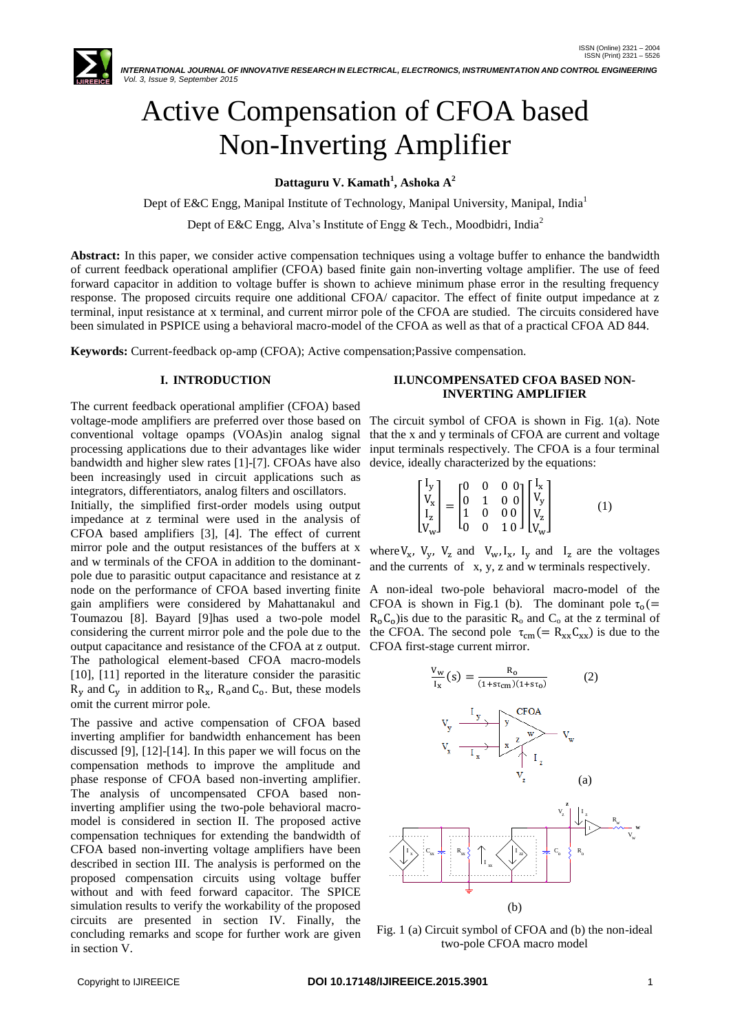

# Active Compensation of CFOA based Non-Inverting Amplifier

**Dattaguru V. Kamath<sup>1</sup> , Ashoka A<sup>2</sup>**

Dept of E&C Engg, Manipal Institute of Technology, Manipal University, Manipal, India<sup>1</sup>

Dept of E&C Engg, Alva's Institute of Engg & Tech., Moodbidri, India<sup>2</sup>

**Abstract:** In this paper, we consider active compensation techniques using a voltage buffer to enhance the bandwidth of current feedback operational amplifier (CFOA) based finite gain non-inverting voltage amplifier. The use of feed forward capacitor in addition to voltage buffer is shown to achieve minimum phase error in the resulting frequency response. The proposed circuits require one additional CFOA/ capacitor. The effect of finite output impedance at z terminal, input resistance at x terminal, and current mirror pole of the CFOA are studied. The circuits considered have been simulated in PSPICE using a behavioral macro-model of the CFOA as well as that of a practical CFOA AD 844.

**Keywords:** Current-feedback op-amp (CFOA); Active compensation;Passive compensation.

# **I. INTRODUCTION**

The current feedback operational amplifier (CFOA) based voltage-mode amplifiers are preferred over those based on conventional voltage opamps (VOAs)in analog signal processing applications due to their advantages like wider bandwidth and higher slew rates [1]-[7]. CFOAs have also been increasingly used in circuit applications such as integrators, differentiators, analog filters and oscillators.

Initially, the simplified first-order models using output impedance at z terminal were used in the analysis of CFOA based amplifiers [3], [4]. The effect of current mirror pole and the output resistances of the buffers at x and w terminals of the CFOA in addition to the dominantpole due to parasitic output capacitance and resistance at z node on the performance of CFOA based inverting finite gain amplifiers were considered by Mahattanakul and Toumazou [8]. Bayard [9]has used a two-pole model considering the current mirror pole and the pole due to the output capacitance and resistance of the CFOA at z output. The pathological element-based CFOA macro-models [10], [11] reported in the literature consider the parasitic  $R_v$  and  $C_v$  in addition to  $R_x$ ,  $R_o$  and  $C_o$ . But, these models omit the current mirror pole.

The passive and active compensation of CFOA based inverting amplifier for bandwidth enhancement has been discussed [9], [12]-[14]. In this paper we will focus on the compensation methods to improve the amplitude and phase response of CFOA based non-inverting amplifier. The analysis of uncompensated CFOA based noninverting amplifier using the two-pole behavioral macro-I model is considered in section II. The proposed active compensation techniques for extending the bandwidth of  $\ldots$ CFOA based non-inverting voltage amplifiers have been R described in section III. The analysis is performed on the proposed compensation circuits using voltage buffer **with an all of the set of the set of the set of the set of the set of the set of the set of the set of the set of the set of the set of the set of the set of the set of** without and with feed forward capacitor. The SPICE  $\qquad \qquad \doteq$ simulation results to verify the workability of the proposed circuits are presented in section IV. Finally, the concluding remarks and scope for further work are given in section V.

## **II.UNCOMPENSATED CFOA BASED NON-INVERTING AMPLIFIER**

The circuit symbol of CFOA is shown in Fig. 1(a). Note that the x and y terminals of CFOA are current and voltage input terminals respectively. The CFOA is a four terminal device, ideally characterized by the equations:

$$
\begin{bmatrix} I_y \\ V_x \\ I_z \\ V_w \end{bmatrix} = \begin{bmatrix} 0 & 0 & 0 & 0 \\ 0 & 1 & 0 & 0 \\ 1 & 0 & 0 & 0 \\ 0 & 0 & 1 & 0 \end{bmatrix} \begin{bmatrix} I_x \\ V_y \\ V_z \\ V_w \end{bmatrix}
$$
 (1)

where  $V_x$ ,  $V_y$ ,  $V_z$  and  $V_w$ ,  $I_x$ ,  $I_y$  and  $I_z$  are the voltages and the currents of x, y, z and w terminals respectively.

A non-ideal two-pole behavioral macro**-**model of the CFOA is shown in Fig.1 (b). The dominant pole  $\tau_0$  (=  $R_0C_0$ ) is due to the parasitic  $R_0$  and  $C_0$  at the z terminal of the CFOA. The second pole  $\tau_{cm} (= R_{xx} C_{xx})$  is due to the CFOA first-stage current mirror.



Fig. 1 (a) Circuit symbol of CFOA and (b) the non-ideal two-pole CFOA macro model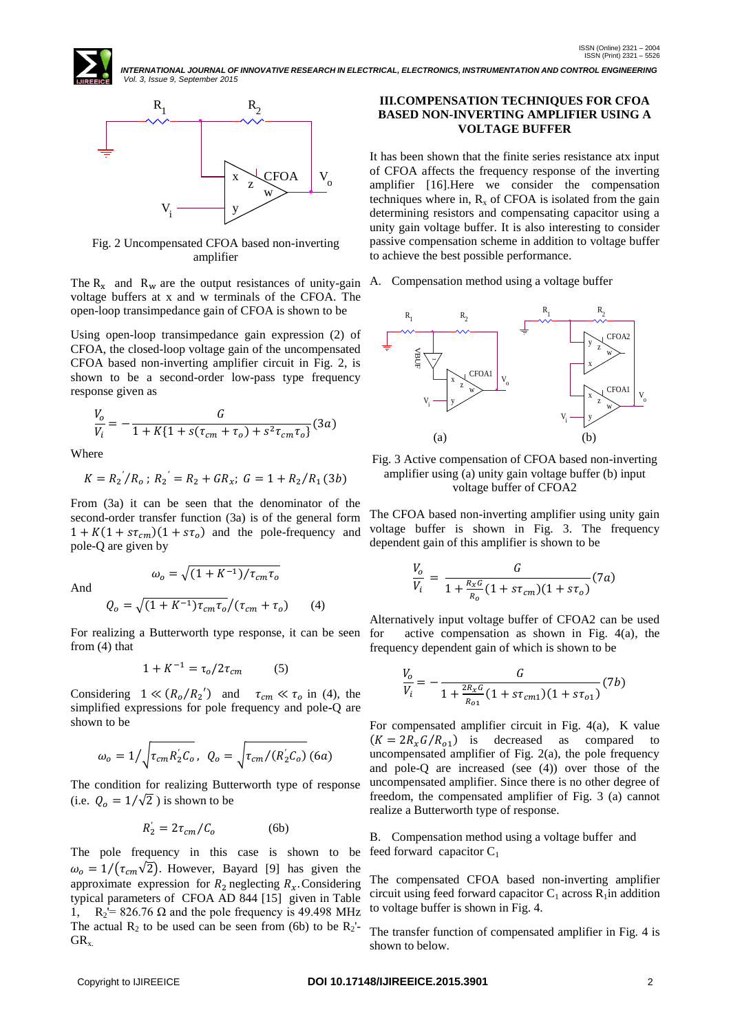

Fig. 2 Uncompensated CFOA based non-inverting amplifier

The  $R_x$  and  $R_w$  are the output resistances of unity-gain A. Compensation method using a voltage buffer voltage buffers at x and w terminals of the CFOA. The open-loop transimpedance gain of CFOA is shown to be

Using open-loop transimpedance gain expression (2) of CFOA, the closed-loop voltage gain of the uncompensated CFOA based non-inverting amplifier circuit in Fig. 2, is shown to be a second-order low-pass type frequency response given as

$$
\frac{V_o}{V_i} = -\frac{G}{1 + K\{1 + s(\tau_{cm} + \tau_o) + s^2 \tau_{cm} \tau_o\}}(3a)
$$

Where

$$
K = R_2 / R_o ; R_2 = R_2 + G R_x ; G = 1 + R_2 / R_1 (3b)
$$

From (3a) it can be seen that the denominator of the second-order transfer function (3a) is of the general form  $1 + K(1 + s\tau_{cm})(1 + s\tau_o)$  and the pole-frequency and pole-Q are given by

And

$$
Q_o = \sqrt{(1 + K^{-1})\tau_{cm}\tau_o}/(\tau_{cm} + \tau_o)
$$
 (4)

 $\omega_o = \sqrt{(1 + K^{-1})/\tau_{cm}\tau_o}$ 

For realizing a Butterworth type response, it can be seen from (4) that

$$
1 + K^{-1} = \tau_o / 2\tau_{cm} \tag{5}
$$

Considering  $1 \ll (R_o/R_2')$  and  $\tau_{cm} \ll \tau_o$  in (4), the simplified expressions for pole frequency and pole**-**Q are shown to be

$$
\omega_o = 1/\sqrt{\tau_{cm} R_2' C_o}, \ Q_o = \sqrt{\tau_{cm}/(R_2' C_o)} \ (6a)
$$

The condition for realizing Butterworth type of response (i.e.  $Q_0 = 1/\sqrt{2}$ ) is shown to be

$$
R_2' = 2\tau_{cm}/C_o \tag{6b}
$$

The pole frequency in this case is shown to be  $\omega_0 = 1/(\tau_{cm}\sqrt{2})$ . However, Bayard [9] has given the approximate expression for  $R_2$  neglecting  $R_x$ . Considering typical parameters of CFOA AD 844 [15] given in Table 1,  $R_2$ <sup>'=</sup> 826.76  $\Omega$  and the pole frequency is 49.498 MHz The actual  $R_2$  to be used can be seen from (6b) to be  $R_2$ '- $GR_{x.}$ 

# **III.COMPENSATION TECHNIQUES FOR CFOA BASED NON-INVERTING AMPLIFIER USING A VOLTAGE BUFFER**

It has been shown that the finite series resistance atx input of CFOA affects the frequency response of the inverting amplifier [16].Here we consider the compensation techniques where in,  $R_x$  of CFOA is isolated from the gain determining resistors and compensating capacitor using a unity gain voltage buffer. It is also interesting to consider passive compensation scheme in addition to voltage buffer to achieve the best possible performance.



Fig. 3 Active compensation of CFOA based non-inverting amplifier using (a) unity gain voltage buffer (b) input voltage buffer of CFOA2

The CFOA based non-inverting amplifier using unity gain voltage buffer is shown in Fig. 3. The frequency dependent gain of this amplifier is shown to be

$$
\frac{V_o}{V_i} = \frac{G}{1 + \frac{R_x G}{R_o} (1 + s \tau_{cm}) (1 + s \tau_o)} (7a)
$$

Alternatively input voltage buffer of CFOA2 can be used for active compensation as shown in Fig. 4(a), the frequency dependent gain of which is shown to be

$$
\frac{V_o}{V_i} = -\frac{G}{1 + \frac{2R_x G}{R_{o1}}(1 + s\tau_{cm1})(1 + s\tau_{o1})}(7b)
$$

For compensated amplifier circuit in Fig. 4(a), K value  $(K = 2R_xG/R_{o1})$  is decreased as compared to uncompensated amplifier of Fig. 2(a), the pole frequency and pole-Q are increased (see (4)) over those of the uncompensated amplifier. Since there is no other degree of freedom, the compensated amplifier of Fig. 3 (a) cannot realize a Butterworth type of response.

B. Compensation method using a voltage buffer and feed forward capacitor  $C_1$ 

The compensated CFOA based non-inverting amplifier circuit using feed forward capacitor  $C_1$  across  $R_1$ in addition to voltage buffer is shown in Fig. 4.

The transfer function of compensated amplifier in Fig. 4 is shown to below.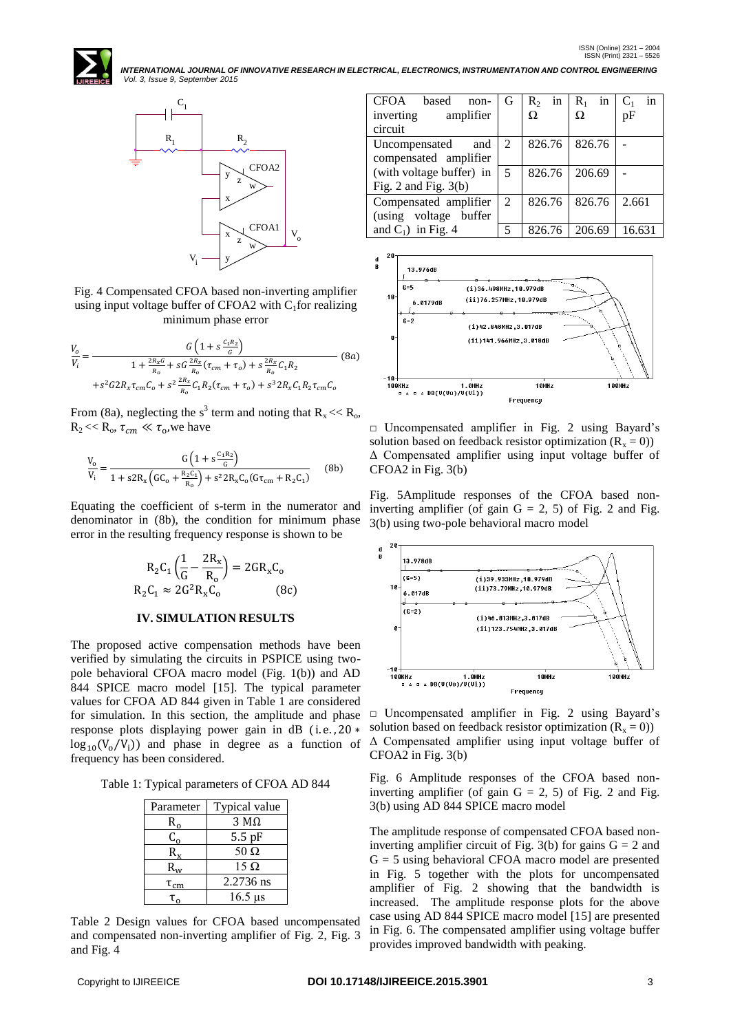

Fig. 4 Compensated CFOA based non-inverting amplifier using input voltage buffer of CFOA2 with  $C_1$  for realizing minimum phase error

$$
\frac{V_o}{V_i} = \frac{G\left(1 + s\frac{c_1 R_2}{G}\right)}{1 + \frac{2R_x G}{R_o} + sG\frac{2R_x}{R_o}(t_{cm} + \tau_o) + s\frac{2R_x}{R_o}C_1 R_2}
$$
(8a)  
+ $s^2 G 2R_x \tau_{cm} C_o + s^2 \frac{2R_x}{R_o} C_1 R_2(\tau_{cm} + \tau_o) + s^3 2R_x C_1 R_2 \tau_{cm} C_o$ 

From (8a), neglecting the s<sup>3</sup> term and noting that  $R_x \ll R_o$ ,  $R_2 \ll R_0$ ,  $\tau_{cm} \ll \tau_0$ , we have

$$
\frac{V_o}{V_i} = \frac{G\left(1 + s\frac{C_1 R_2}{G}\right)}{1 + s2R_x\left(GC_o + \frac{R_2 C_1}{R_o}\right) + s^2 2R_x C_o(G\tau_{cm} + R_2 C_1)}\tag{8b}
$$

Equating the coefficient of s-term in the numerator and denominator in (8b), the condition for minimum phase error in the resulting frequency response is shown to be

$$
R_2C_1\left(\frac{1}{G} - \frac{2R_x}{R_o}\right) = 2GR_xC_o
$$
  
\n
$$
R_2C_1 \approx 2G^2R_xC_o
$$
 (8c)

### **IV. SIMULATION RESULTS**

The proposed active compensation methods have been verified by simulating the circuits in PSPICE using twopole behavioral CFOA macro model (Fig. 1(b)) and AD 844 SPICE macro model [15]. The typical parameter values for CFOA AD 844 given in Table 1 are considered for simulation. In this section, the amplitude and phase response plots displaying power gain in dB (i.e., 20 \*  $log_{10}(V_0/V_i)$  and phase in degree as a function of frequency has been considered.

Table 1: Typical parameters of CFOA AD 844

| Parameter       | Typical value |  |  |  |
|-----------------|---------------|--|--|--|
| $R_{\alpha}$    | $3 M\Omega$   |  |  |  |
| $C_{o}$         | $5.5$ pF      |  |  |  |
| $\mathsf{R}$    | 50 $\Omega$   |  |  |  |
| $R_{\rm uv}$    | $15 \Omega$   |  |  |  |
| $\tau_{\rm cm}$ | 2.2736 ns     |  |  |  |
|                 | $16.5$ us     |  |  |  |

Table 2 Design values for CFOA based uncompensated and compensated non-inverting amplifier of Fig. 2, Fig. 3 and Fig. 4

| CFOA<br>based<br>$non-$  | G                           | $R_2$ in | in<br>$R_1$ | $C_1$<br>in |
|--------------------------|-----------------------------|----------|-------------|-------------|
| inverting<br>amplifier   |                             | Ω        |             | pF          |
| circuit                  |                             |          |             |             |
| Uncompensated<br>and     | 2                           | 826.76   | 826.76      |             |
| compensated amplifier    |                             |          |             |             |
| (with voltage buffer) in | -5                          | 826.76   | 206.69      |             |
| Fig. $2$ and Fig. $3(b)$ |                             |          |             |             |
| Compensated amplifier    | $\mathcal{D}_{\mathcal{L}}$ | 826.76   | 826.76      | 2.661       |
| (using voltage buffer    |                             |          |             |             |
| and $C_1$ ) in Fig. 4    | $\overline{\mathcal{L}}$    | 826.76   | 206.69      | 16.631      |



□ Uncompensated amplifier in Fig. 2 using Bayard's solution based on feedback resistor optimization  $(R_x = 0)$ ) Δ Compensated amplifier using input voltage buffer of CFOA2 in Fig. 3(b)

Fig. 5Amplitude responses of the CFOA based noninverting amplifier (of gain  $G = 2$ , 5) of Fig. 2 and Fig. 3(b) using two-pole behavioral macro model



□ Uncompensated amplifier in Fig. 2 using Bayard's solution based on feedback resistor optimization  $(R_x = 0)$ ) Δ Compensated amplifier using input voltage buffer of CFOA2 in Fig. 3(b)

Fig. 6 Amplitude responses of the CFOA based noninverting amplifier (of gain  $G = 2$ , 5) of Fig. 2 and Fig. 3(b) using AD 844 SPICE macro model

The amplitude response of compensated CFOA based noninverting amplifier circuit of Fig. 3(b) for gains  $G = 2$  and  $G = 5$  using behavioral CFOA macro model are presented in Fig. 5 together with the plots for uncompensated amplifier of Fig. 2 showing that the bandwidth is increased. The amplitude response plots for the above case using AD 844 SPICE macro model [15] are presented in Fig. 6. The compensated amplifier using voltage buffer provides improved bandwidth with peaking.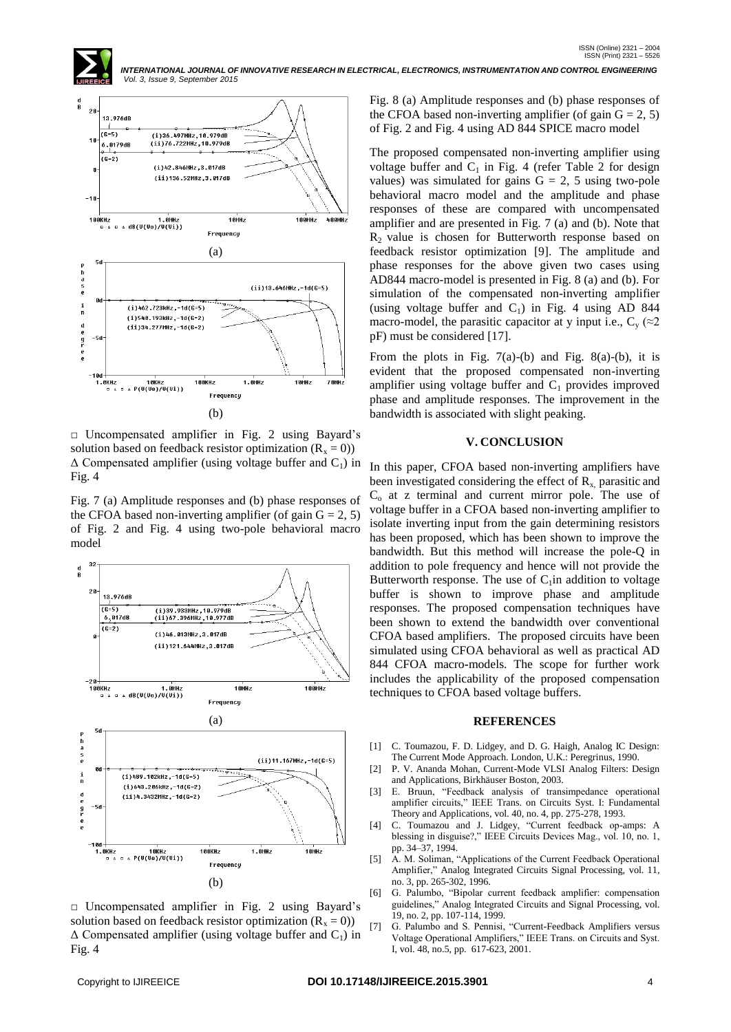

□ Uncompensated amplifier in Fig. 2 using Bayard's solution based on feedback resistor optimization  $(R_x = 0)$ )  $\Delta$  Compensated amplifier (using voltage buffer and C<sub>1</sub>) in Fig. 4

Fig. 7 (a) Amplitude responses and (b) phase responses of the CFOA based non-inverting amplifier (of gain  $G = 2, 5$ ) of Fig. 2 and Fig. 4 using two-pole behavioral macro model



□ Uncompensated amplifier in Fig. 2 using Bayard's solution based on feedback resistor optimization  $(R_x = 0)$ )  $\Delta$  Compensated amplifier (using voltage buffer and C<sub>1</sub>) in Fig. 4

Fig. 8 (a) Amplitude responses and (b) phase responses of the CFOA based non-inverting amplifier (of gain  $G = 2, 5$ ) of Fig. 2 and Fig. 4 using AD 844 SPICE macro model

The proposed compensated non-inverting amplifier using voltage buffer and  $C_1$  in Fig. 4 (refer Table 2 for design values) was simulated for gains  $G = 2$ , 5 using two-pole behavioral macro model and the amplitude and phase responses of these are compared with uncompensated amplifier and are presented in Fig. 7 (a) and (b). Note that  $R<sub>2</sub>$  value is chosen for Butterworth response based on feedback resistor optimization [9]. The amplitude and phase responses for the above given two cases using AD844 macro-model is presented in Fig. 8 (a) and (b). For simulation of the compensated non-inverting amplifier (using voltage buffer and  $C_1$ ) in Fig. 4 using AD 844 macro-model, the parasitic capacitor at y input i.e.,  $C_v$  ( $\approx$ 2 pF) must be considered [17].

From the plots in Fig.  $7(a)-(b)$  and Fig. 8(a)-(b), it is evident that the proposed compensated non-inverting amplifier using voltage buffer and  $C_1$  provides improved phase and amplitude responses. The improvement in the bandwidth is associated with slight peaking.

#### **V. CONCLUSION**

In this paper, CFOA based non-inverting amplifiers have been investigated considering the effect of  $R_x$ , parasitic and  $C<sub>o</sub>$  at z terminal and current mirror pole. The use of voltage buffer in a CFOA based non-inverting amplifier to isolate inverting input from the gain determining resistors has been proposed, which has been shown to improve the bandwidth. But this method will increase the pole-Q in addition to pole frequency and hence will not provide the Butterworth response. The use of  $C_1$  in addition to voltage buffer is shown to improve phase and amplitude responses. The proposed compensation techniques have been shown to extend the bandwidth over conventional CFOA based amplifiers. The proposed circuits have been simulated using CFOA behavioral as well as practical AD 844 CFOA macro**-**models. The scope for further work includes the applicability of the proposed compensation techniques to CFOA based voltage buffers.

#### **REFERENCES**

- [1] C. Toumazou, F. D. Lidgey, and D. G. Haigh, Analog IC Design: The Current Mode Approach. London, U.K.: Peregrinus, 1990.
- [2] P. V. Ananda Mohan, Current-Mode VLSI Analog Filters: Design and Applications, Birkhäuser Boston, 2003.
- [3] E. Bruun, "Feedback analysis of transimpedance operational amplifier circuits," IEEE Trans. on Circuits Syst. I: Fundamental Theory and Applications, vol. 40, no. 4, pp. 275-278, 1993.
- [4] C. Toumazou and J. Lidgey, "Current feedback op-amps: A blessing in disguise?," IEEE Circuits Devices Mag., vol. 10, no. 1, pp. 34–37, 1994.
- [5] A. M. Soliman, "Applications of the Current Feedback Operational Amplifier," Analog Integrated Circuits Signal Processing, vol. 11, no. 3, pp. 265-302, 1996.
- [6] G. Palumbo, "Bipolar current feedback amplifier: compensation guidelines," Analog Integrated Circuits and Signal Processing, vol. 19, no. 2, pp. 107-114, 1999.
- [7] G. Palumbo and S. Pennisi, "Current-Feedback Amplifiers versus Voltage Operational Amplifiers," IEEE Trans. on Circuits and Syst. I, vol. 48, no.5, pp. 617-623, 2001.